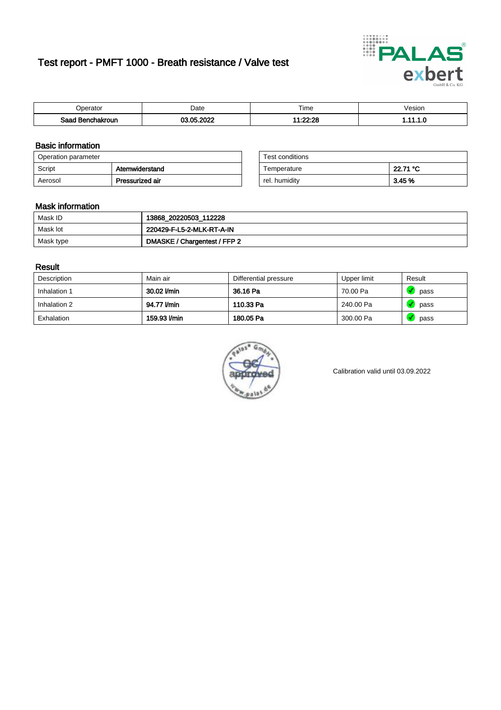# Test report - PMFT 1000 - Breath resistance / Valve test



| )perator               | Date           | $- \cdot$<br>Гіmе      | esion |
|------------------------|----------------|------------------------|-------|
| המס<br>hakroun<br>32 H | റററ<br>AC<br>. | alonine.<br>----<br>-- | .     |

### Basic information

| Operation parameter |                 | Test conditions |          |
|---------------------|-----------------|-----------------|----------|
| Script              | Atemwiderstand  | Temperature     | 22.71 °C |
| Aerosol             | Pressurized air | rel. humidity   | 3.45 %   |

| Test conditions |          |
|-----------------|----------|
| Temperature     | 22.71 °C |
| rel. humidity   | 3.45%    |

#### Mask information

| Mask ID   | 13868_20220503_112228        |
|-----------|------------------------------|
| Mask lot  | 220429-F-L5-2-MLK-RT-A-IN    |
| Mask type | DMASKE / Chargentest / FFP 2 |

### Result

| Description  | Main air     | Differential pressure | Upper limit | Result |
|--------------|--------------|-----------------------|-------------|--------|
| Inhalation 1 | 30.02 l/min  | 36.16 Pa              | 70.00 Pa    | pass   |
| Inhalation 2 | 94.77 l/min  | 110.33 Pa             | 240.00 Pa   | pass   |
| Exhalation   | 159.93 l/min | 180.05 Pa             | 300.00 Pa   | pass   |



Calibration valid until 03.09.2022